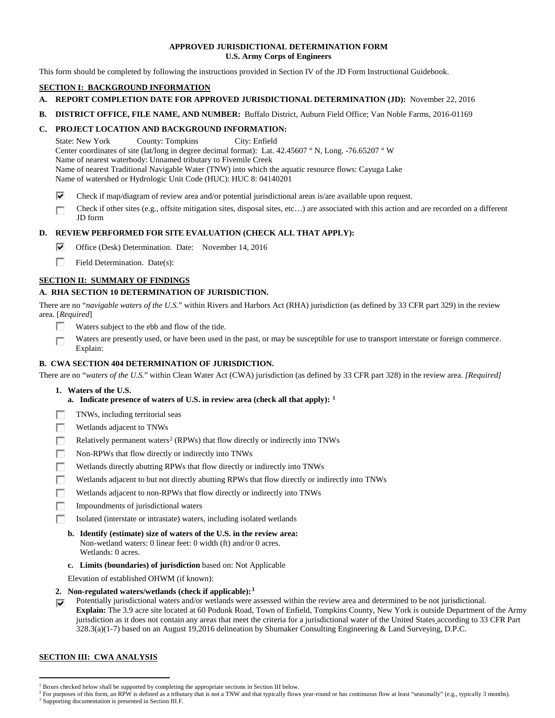### **APPROVED JURISDICTIONAL DETERMINATION FORM U.S. Army Corps of Engineers**

This form should be completed by following the instructions provided in Section IV of the JD Form Instructional Guidebook.

# **SECTION I: BACKGROUND INFORMATION**

- **A. REPORT COMPLETION DATE FOR APPROVED JURISDICTIONAL DETERMINATION (JD):** November 22, 2016
- **B. DISTRICT OFFICE, FILE NAME, AND NUMBER:** Buffalo District, Auburn Field Office; Van Noble Farms, 2016-01169

# **C. PROJECT LOCATION AND BACKGROUND INFORMATION:**

State: New York County: Tompkins City: Enfield Center coordinates of site (lat/long in degree decimal format): Lat. 42.45607 ° N, Long. -76.65207 ° W Name of nearest waterbody: Unnamed tributary to Fivemile Creek Name of nearest Traditional Navigable Water (TNW) into which the aquatic resource flows: Cayuga Lake Name of watershed or Hydrologic Unit Code (HUC): HUC 8: 04140201

- ⊽ Check if map/diagram of review area and/or potential jurisdictional areas is/are available upon request.
- Check if other sites (e.g., offsite mitigation sites, disposal sites, etc…) are associated with this action and are recorded on a different n JD form

# **D. REVIEW PERFORMED FOR SITE EVALUATION (CHECK ALL THAT APPLY):**

- ⊽ Office (Desk) Determination. Date: November 14, 2016
- m. Field Determination. Date(s):

# **SECTION II: SUMMARY OF FINDINGS**

# **A. RHA SECTION 10 DETERMINATION OF JURISDICTION.**

There are no "*navigable waters of the U.S.*" within Rivers and Harbors Act (RHA) jurisdiction (as defined by 33 CFR part 329) in the review area. [*Required*]

- m Waters subject to the ebb and flow of the tide.
- Waters are presently used, or have been used in the past, or may be susceptible for use to transport interstate or foreign commerce. n Explain:

# **B. CWA SECTION 404 DETERMINATION OF JURISDICTION.**

There are no "*waters of the U.S.*" within Clean Water Act (CWA) jurisdiction (as defined by 33 CFR part 328) in the review area. *[Required]*

- **1. Waters of the U.S.**
	- **a. Indicate presence of waters of U.S. in review area (check all that apply): [1](#page-0-0)**
- TNWs, including territorial seas 同
- **ISB** Wetlands adjacent to TNWs
- п Relatively permanent waters<sup>[2](#page-0-1)</sup> (RPWs) that flow directly or indirectly into TNWs
- **In** Non-RPWs that flow directly or indirectly into TNWs
- Wetlands directly abutting RPWs that flow directly or indirectly into TNWs n
- г Wetlands adjacent to but not directly abutting RPWs that flow directly or indirectly into TNWs
- п Wetlands adjacent to non-RPWs that flow directly or indirectly into TNWs
- $\sim$ Impoundments of jurisdictional waters
- Isolated (interstate or intrastate) waters, including isolated wetlands n
	- **b. Identify (estimate) size of waters of the U.S. in the review area:** Non-wetland waters: 0 linear feet: 0 width (ft) and/or 0 acres. Wetlands: 0 acres.
	- **c. Limits (boundaries) of jurisdiction** based on: Not Applicable

Elevation of established OHWM (if known):

- **2. Non-regulated waters/wetlands (check if applicable):[3](#page-0-2)**
- Potentially jurisdictional waters and/or wetlands were assessed within the review area and determined to be not jurisdictional. ⊽ **Explain:** The 3.9 acre site located at 60 Podunk Road, Town of Enfield, Tompkins County, New York is outside Department of the Army jurisdiction as it does not contain any areas that meet the criteria for a jurisdictional water of the United States according to 33 CFR Part 328.3(a)(1-7) based on an August 19,2016 delineation by Shumaker Consulting Engineering & Land Surveying, D.P.C.

## **SECTION III: CWA ANALYSIS**

<span id="page-0-0"></span><sup>&</sup>lt;sup>1</sup> Boxes checked below shall be supported by completing the appropriate sections in Section III below.

<span id="page-0-2"></span><span id="page-0-1"></span><sup>&</sup>lt;sup>2</sup> For purposes of this form, an RPW is defined as a tributary that is not a TNW and that typically flows year-round or has continuous flow at least "seasonally" (e.g., typically 3 months). <sup>3</sup> Supporting documentation is presented in Section III.F.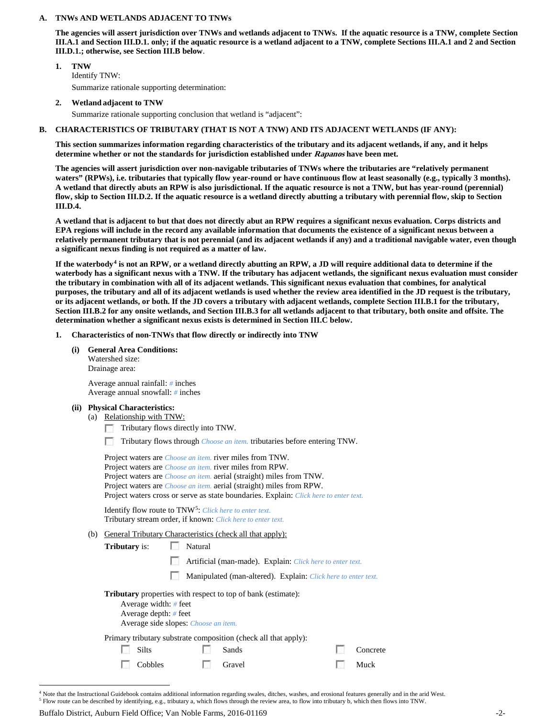### **A. TNWs AND WETLANDS ADJACENT TO TNWs**

**The agencies will assert jurisdiction over TNWs and wetlands adjacent to TNWs. If the aquatic resource is a TNW, complete Section III.A.1 and Section III.D.1. only; if the aquatic resource is a wetland adjacent to a TNW, complete Sections III.A.1 and 2 and Section III.D.1.; otherwise, see Section III.B below**.

- **1. TNW**  Identify TNW: Summarize rationale supporting determination:
- **2. Wetland adjacent to TNW**

Summarize rationale supporting conclusion that wetland is "adjacent":

### **B. CHARACTERISTICS OF TRIBUTARY (THAT IS NOT A TNW) AND ITS ADJACENT WETLANDS (IF ANY):**

**This section summarizes information regarding characteristics of the tributary and its adjacent wetlands, if any, and it helps determine whether or not the standards for jurisdiction established under Rapanos have been met.** 

**The agencies will assert jurisdiction over non-navigable tributaries of TNWs where the tributaries are "relatively permanent waters" (RPWs), i.e. tributaries that typically flow year-round or have continuous flow at least seasonally (e.g., typically 3 months). A wetland that directly abuts an RPW is also jurisdictional. If the aquatic resource is not a TNW, but has year-round (perennial) flow, skip to Section III.D.2. If the aquatic resource is a wetland directly abutting a tributary with perennial flow, skip to Section III.D.4.**

**A wetland that is adjacent to but that does not directly abut an RPW requires a significant nexus evaluation. Corps districts and EPA regions will include in the record any available information that documents the existence of a significant nexus between a relatively permanent tributary that is not perennial (and its adjacent wetlands if any) and a traditional navigable water, even though a significant nexus finding is not required as a matter of law.**

**If the waterbody[4](#page-1-0) is not an RPW, or a wetland directly abutting an RPW, a JD will require additional data to determine if the waterbody has a significant nexus with a TNW. If the tributary has adjacent wetlands, the significant nexus evaluation must consider the tributary in combination with all of its adjacent wetlands. This significant nexus evaluation that combines, for analytical purposes, the tributary and all of its adjacent wetlands is used whether the review area identified in the JD request is the tributary, or its adjacent wetlands, or both. If the JD covers a tributary with adjacent wetlands, complete Section III.B.1 for the tributary, Section III.B.2 for any onsite wetlands, and Section III.B.3 for all wetlands adjacent to that tributary, both onsite and offsite. The determination whether a significant nexus exists is determined in Section III.C below.**

- **1. Characteristics of non-TNWs that flow directly or indirectly into TNW**
	- **(i) General Area Conditions:** Watershed size: Drainage area:

Average annual rainfall: *#* inches Average annual snowfall: *#* inches

### **(ii) Physical Characteristics:**

(a) Relationship with TNW:

Tributary flows directly into TNW.

Tributary flows through *Choose an item.* tributaries before entering TNW. m.

|     | Project waters are <i>Choose an item</i> , river miles from TNW.<br>Project waters are <i>Choose an item.</i> river miles from RPW.<br>Project waters are <i>Choose an item.</i> aerial (straight) miles from TNW.<br>Project waters are <i>Choose an item.</i> aerial (straight) miles from RPW. |  |                                                                                                                            |  |                  |  |
|-----|---------------------------------------------------------------------------------------------------------------------------------------------------------------------------------------------------------------------------------------------------------------------------------------------------|--|----------------------------------------------------------------------------------------------------------------------------|--|------------------|--|
|     | Project waters cross or serve as state boundaries. Explain: Click here to enter text.<br>Identify flow route to TNW <sup>5</sup> : Click here to enter text.<br>Tributary stream order, if known: Click here to enter text.                                                                       |  |                                                                                                                            |  |                  |  |
| (b) | <b>General Tributary Characteristics (check all that apply):</b><br>Natural<br><b>Tributary</b> is:                                                                                                                                                                                               |  |                                                                                                                            |  |                  |  |
|     |                                                                                                                                                                                                                                                                                                   |  | Artificial (man-made). Explain: Click here to enter text.<br>Manipulated (man-altered). Explain: Click here to enter text. |  |                  |  |
|     | <b>Tributary</b> properties with respect to top of bank (estimate):<br>Average width: $#$ feet<br>Average depth: $#$ feet<br>Average side slopes: <i>Choose an item.</i>                                                                                                                          |  |                                                                                                                            |  |                  |  |
|     | <b>Silts</b><br>Cobbles                                                                                                                                                                                                                                                                           |  | Primary tributary substrate composition (check all that apply):<br>Sands<br>Gravel                                         |  | Concrete<br>Muck |  |
|     |                                                                                                                                                                                                                                                                                                   |  |                                                                                                                            |  |                  |  |

<span id="page-1-0"></span><sup>&</sup>lt;sup>4</sup> Note that the Instructional Guidebook contains additional information regarding swales, ditches, washes, and erosional features generally and in the arid West. <sup>5</sup> Flow route can be described by identifying, e.g., tributary a, which flows through the review area, to flow into tributary b, which then flows into TNW.

<span id="page-1-1"></span>

Buffalo District, Auburn Field Office; Van Noble Farms, 2016-01169 -2-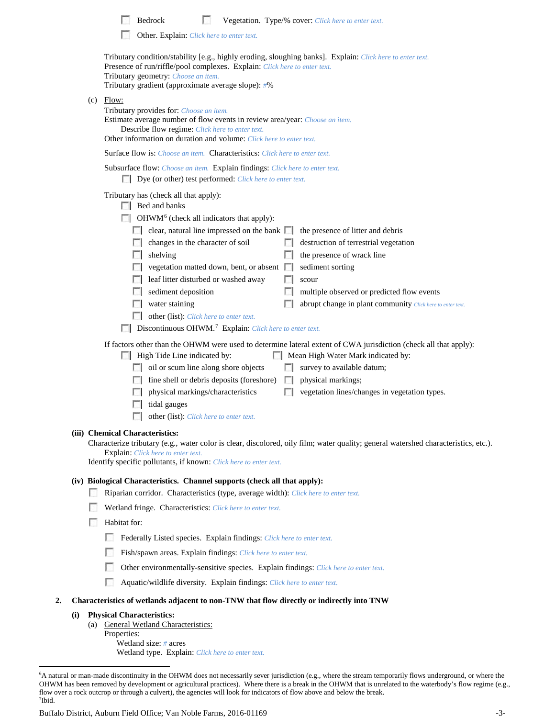| Bedrock |  |  | <b>Vegetation.</b> Type/% cover: <i>Click here to enter text.</i> |  |  |
|---------|--|--|-------------------------------------------------------------------|--|--|
|---------|--|--|-------------------------------------------------------------------|--|--|

Other. Explain: *Click here to enter text.*

|    |            | Tributary condition/stability [e.g., highly eroding, sloughing banks]. Explain: Click here to enter text.<br>Presence of run/riffle/pool complexes. Explain: Click here to enter text.<br>Tributary geometry: Choose an item.<br>Tributary gradient (approximate average slope): #%                                                                                                                                                                                                                                                                                                                                                                                                                                                               |
|----|------------|---------------------------------------------------------------------------------------------------------------------------------------------------------------------------------------------------------------------------------------------------------------------------------------------------------------------------------------------------------------------------------------------------------------------------------------------------------------------------------------------------------------------------------------------------------------------------------------------------------------------------------------------------------------------------------------------------------------------------------------------------|
|    |            | $(c)$ Flow:<br>Tributary provides for: Choose an item.<br>Estimate average number of flow events in review area/year: Choose an item.<br>Describe flow regime: Click here to enter text.<br>Other information on duration and volume: Click here to enter text.                                                                                                                                                                                                                                                                                                                                                                                                                                                                                   |
|    |            | Surface flow is: Choose an item. Characteristics: Click here to enter text.                                                                                                                                                                                                                                                                                                                                                                                                                                                                                                                                                                                                                                                                       |
|    |            | Subsurface flow: Choose an item. Explain findings: Click here to enter text.<br>Dye (or other) test performed: Click here to enter text.                                                                                                                                                                                                                                                                                                                                                                                                                                                                                                                                                                                                          |
|    |            | Tributary has (check all that apply):<br>$\Box$ Bed and banks<br>OHWM <sup>6</sup> (check all indicators that apply):<br>$\Box$ clear, natural line impressed on the bank $\Box$<br>the presence of litter and debris<br>destruction of terrestrial vegetation<br>$\Box$ changes in the character of soil<br>the presence of wrack line<br>shelving<br>vegetation matted down, bent, or absent $\Box$<br>sediment sorting<br>leaf litter disturbed or washed away<br>scour<br>sediment deposition<br>multiple observed or predicted flow events<br>water staining<br>abrupt change in plant community Click here to enter text.<br>other (list): Click here to enter text.<br>Discontinuous OHWM. <sup>7</sup> Explain: Click here to enter text. |
|    |            | If factors other than the OHWM were used to determine lateral extent of CWA jurisdiction (check all that apply):<br>High Tide Line indicated by:<br>Mean High Water Mark indicated by:<br>oil or scum line along shore objects<br>survey to available datum;<br>fine shell or debris deposits (foreshore)<br>physical markings;<br>physical markings/characteristics<br>vegetation lines/changes in vegetation types.<br>tidal gauges<br>other (list): Click here to enter text.<br>(iii) Chemical Characteristics:<br>Characterize tributary (e.g., water color is clear, discolored, oily film; water quality; general watershed characteristics, etc.).<br><b>Explain:</b> Click here to enter text.                                           |
|    |            | Identify specific pollutants, if known: Click here to enter text.<br>(iv) Biological Characteristics. Channel supports (check all that apply):<br>Riparian corridor. Characteristics (type, average width): Click here to enter text.<br>Wetland fringe. Characteristics: Click here to enter text.<br>Habitat for:<br>Federally Listed species. Explain findings: Click here to enter text.                                                                                                                                                                                                                                                                                                                                                      |
|    |            | Fish/spawn areas. Explain findings: Click here to enter text.                                                                                                                                                                                                                                                                                                                                                                                                                                                                                                                                                                                                                                                                                     |
|    |            | Other environmentally-sensitive species. Explain findings: Click here to enter text.                                                                                                                                                                                                                                                                                                                                                                                                                                                                                                                                                                                                                                                              |
|    |            | n<br>Aquatic/wildlife diversity. Explain findings: Click here to enter text.                                                                                                                                                                                                                                                                                                                                                                                                                                                                                                                                                                                                                                                                      |
| 2. |            | Characteristics of wetlands adjacent to non-TNW that flow directly or indirectly into TNW                                                                                                                                                                                                                                                                                                                                                                                                                                                                                                                                                                                                                                                         |
|    | (i)<br>(a) | <b>Physical Characteristics:</b><br><b>General Wetland Characteristics:</b><br>Properties:<br>Wetland size: $#$ acres<br>Wetland type. Explain: Click here to enter text.                                                                                                                                                                                                                                                                                                                                                                                                                                                                                                                                                                         |
|    |            | A natural or man-made discontinuity in the OHWM does not necessarily sever jurisdiction (e.g., where the stream temporarily flows underground, or where the<br>$\alpha$ and $\alpha$ and $\alpha$ and $\alpha$ and $\alpha$ and $\alpha$ and $\alpha$ and $\alpha$ are those is a heads in the OUWM that is unualated to the                                                                                                                                                                                                                                                                                                                                                                                                                      |

<span id="page-2-1"></span><span id="page-2-0"></span> <sup>6</sup> OHWM has been removed by development or agricultural practices). Where there is a break in the OHWM that is unrelated to the waterbody's flow regime (e.g., flow over a rock outcrop or through a culvert), the agencies will look for indicators of flow above and below the break. 7 Ibid.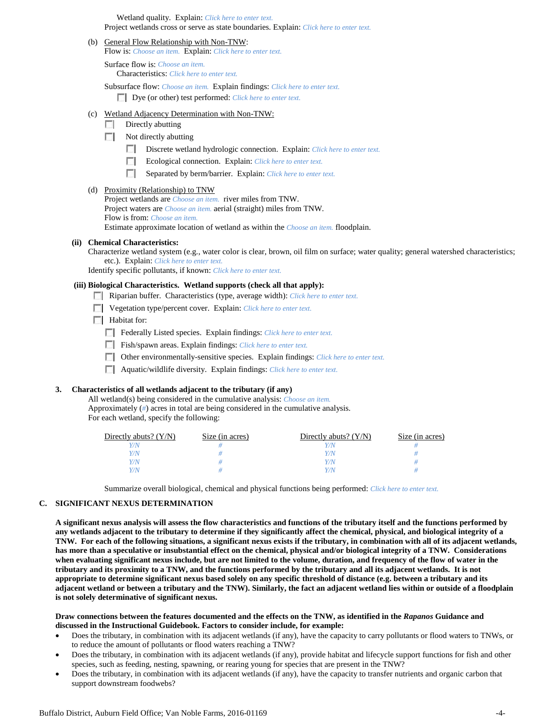Wetland quality. Explain: *Click here to enter text.* Project wetlands cross or serve as state boundaries. Explain: *Click here to enter text.*

(b) General Flow Relationship with Non-TNW:

Flow is: *Choose an item.* Explain: *Click here to enter text.*

Surface flow is: *Choose an item.* Characteristics: *Click here to enter text.*

Subsurface flow: *Choose an item.* Explain findings: *Click here to enter text.* Dye (or other) test performed: *Click here to enter text.*

### (c) Wetland Adjacency Determination with Non-TNW:

- $\Box$  Directly abutting
- $\Box$  Not directly abutting
	- Discrete wetland hydrologic connection. Explain: *Click here to enter text.*
	- Ecological connection. Explain: *Click here to enter text.*
	- п Separated by berm/barrier. Explain: *Click here to enter text.*

#### (d) Proximity (Relationship) to TNW

Project wetlands are *Choose an item.* river miles from TNW. Project waters are *Choose an item.* aerial (straight) miles from TNW. Flow is from: *Choose an item.* Estimate approximate location of wetland as within the *Choose an item.* floodplain.

#### **(ii) Chemical Characteristics:**

Characterize wetland system (e.g., water color is clear, brown, oil film on surface; water quality; general watershed characteristics; etc.). Explain: *Click here to enter text.*

Identify specific pollutants, if known: *Click here to enter text.*

### **(iii) Biological Characteristics. Wetland supports (check all that apply):**

- Riparian buffer. Characteristics (type, average width): *Click here to enter text.*
- Vegetation type/percent cover. Explain: *Click here to enter text.*
- **Habitat for:**

Federally Listed species. Explain findings: *Click here to enter text*.

- Fish/spawn areas. Explain findings: *Click here to enter text.*
- Other environmentally-sensitive species. Explain findings: *Click here to enter text.*
- Aquatic/wildlife diversity. Explain findings: *Click here to enter text.*

#### **3. Characteristics of all wetlands adjacent to the tributary (if any)**

All wetland(s) being considered in the cumulative analysis: *Choose an item.* Approximately (*#*) acres in total are being considered in the cumulative analysis. For each wetland, specify the following:

| Directly abuts? $(Y/N)$ | Size (in acres) | Directly abuts? $(Y/N)$ | Size (in acres) |
|-------------------------|-----------------|-------------------------|-----------------|
| Y/N.                    |                 |                         |                 |
| Y/N                     |                 | 7N                      |                 |
| Y/N                     |                 | 7N                      |                 |
| V/N                     |                 |                         |                 |

Summarize overall biological, chemical and physical functions being performed: *Click here to enter text.*

### **C. SIGNIFICANT NEXUS DETERMINATION**

**A significant nexus analysis will assess the flow characteristics and functions of the tributary itself and the functions performed by any wetlands adjacent to the tributary to determine if they significantly affect the chemical, physical, and biological integrity of a TNW. For each of the following situations, a significant nexus exists if the tributary, in combination with all of its adjacent wetlands, has more than a speculative or insubstantial effect on the chemical, physical and/or biological integrity of a TNW. Considerations when evaluating significant nexus include, but are not limited to the volume, duration, and frequency of the flow of water in the tributary and its proximity to a TNW, and the functions performed by the tributary and all its adjacent wetlands. It is not appropriate to determine significant nexus based solely on any specific threshold of distance (e.g. between a tributary and its adjacent wetland or between a tributary and the TNW). Similarly, the fact an adjacent wetland lies within or outside of a floodplain is not solely determinative of significant nexus.** 

#### **Draw connections between the features documented and the effects on the TNW, as identified in the** *Rapanos* **Guidance and discussed in the Instructional Guidebook. Factors to consider include, for example:**

- Does the tributary, in combination with its adjacent wetlands (if any), have the capacity to carry pollutants or flood waters to TNWs, or to reduce the amount of pollutants or flood waters reaching a TNW?
- Does the tributary, in combination with its adjacent wetlands (if any), provide habitat and lifecycle support functions for fish and other species, such as feeding, nesting, spawning, or rearing young for species that are present in the TNW?
- Does the tributary, in combination with its adjacent wetlands (if any), have the capacity to transfer nutrients and organic carbon that support downstream foodwebs?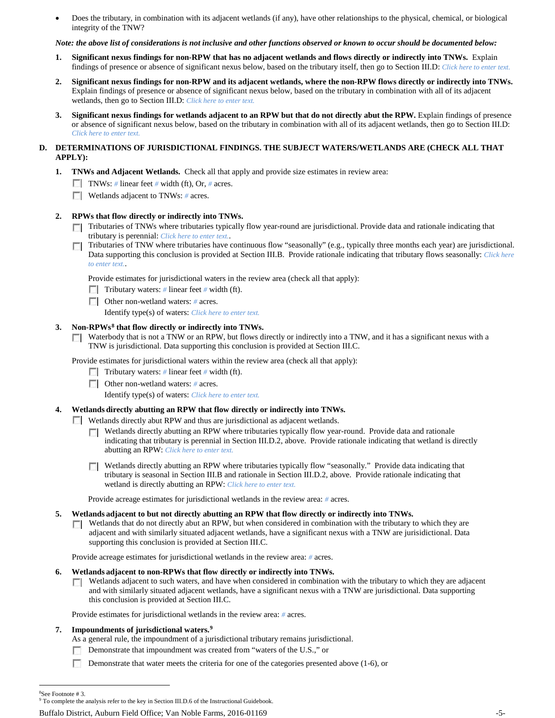• Does the tributary, in combination with its adjacent wetlands (if any), have other relationships to the physical, chemical, or biological integrity of the TNW?

### *Note: the above list of considerations is not inclusive and other functions observed or known to occur should be documented below:*

- **1. Significant nexus findings for non-RPW that has no adjacent wetlands and flows directly or indirectly into TNWs.** Explain findings of presence or absence of significant nexus below, based on the tributary itself, then go to Section III.D: *Click here to enter text.*
- **2. Significant nexus findings for non-RPW and its adjacent wetlands, where the non-RPW flows directly or indirectly into TNWs.**  Explain findings of presence or absence of significant nexus below, based on the tributary in combination with all of its adjacent wetlands, then go to Section III.D: *Click here to enter text.*
- **3. Significant nexus findings for wetlands adjacent to an RPW but that do not directly abut the RPW.** Explain findings of presence or absence of significant nexus below, based on the tributary in combination with all of its adjacent wetlands, then go to Section III.D: *Click here to enter text.*

## **D. DETERMINATIONS OF JURISDICTIONAL FINDINGS. THE SUBJECT WATERS/WETLANDS ARE (CHECK ALL THAT APPLY):**

- **1. TNWs and Adjacent Wetlands.** Check all that apply and provide size estimates in review area:
	- TNWs: *#* linear feet *#* width (ft), Or, *#* acres.
	- **Wetlands adjacent to TNWs:** # acres.

# **2. RPWs that flow directly or indirectly into TNWs.**

- Tributaries of TNWs where tributaries typically flow year-round are jurisdictional. Provide data and rationale indicating that tributary is perennial: *Click here to enter text.*.
- Tributaries of TNW where tributaries have continuous flow "seasonally" (e.g., typically three months each year) are jurisdictional. п Data supporting this conclusion is provided at Section III.B. Provide rationale indicating that tributary flows seasonally: *Click here to enter text.*.

Provide estimates for jurisdictional waters in the review area (check all that apply):

- Tributary waters: # linear feet # width (ft).
- Other non-wetland waters: *#* acres.
	- Identify type(s) of waters: *Click here to enter text.*

## **3. Non-RPWs[8](#page-4-0) that flow directly or indirectly into TNWs.**

Waterbody that is not a TNW or an RPW, but flows directly or indirectly into a TNW, and it has a significant nexus with a  $\mathcal{L}$ TNW is jurisdictional. Data supporting this conclusion is provided at Section III.C.

Provide estimates for jurisdictional waters within the review area (check all that apply):

- Tributary waters: # linear feet # width (ft).
- Other non-wetland waters: *#* acres.

Identify type(s) of waters: *Click here to enter text.*

## **4. Wetlands directly abutting an RPW that flow directly or indirectly into TNWs.**

Wetlands directly abut RPW and thus are jurisdictional as adjacent wetlands.  $\sim$ 

- **Netlands directly abutting an RPW where tributaries typically flow year-round. Provide data and rationale** indicating that tributary is perennial in Section III.D.2, above. Provide rationale indicating that wetland is directly abutting an RPW: *Click here to enter text.*
- Wetlands directly abutting an RPW where tributaries typically flow "seasonally." Provide data indicating that tributary is seasonal in Section III.B and rationale in Section III.D.2, above. Provide rationale indicating that wetland is directly abutting an RPW: *Click here to enter text.*

Provide acreage estimates for jurisdictional wetlands in the review area: *#* acres.

## **5. Wetlands adjacent to but not directly abutting an RPW that flow directly or indirectly into TNWs.**

Wetlands that do not directly abut an RPW, but when considered in combination with the tributary to which they are  $\mathcal{L}$ adjacent and with similarly situated adjacent wetlands, have a significant nexus with a TNW are jurisidictional. Data supporting this conclusion is provided at Section III.C.

Provide acreage estimates for jurisdictional wetlands in the review area: *#* acres.

## **6. Wetlands adjacent to non-RPWs that flow directly or indirectly into TNWs.**

Wetlands adjacent to such waters, and have when considered in combination with the tributary to which they are adjacent  $\sim$ and with similarly situated adjacent wetlands, have a significant nexus with a TNW are jurisdictional. Data supporting this conclusion is provided at Section III.C.

Provide estimates for jurisdictional wetlands in the review area: *#* acres.

## **7. Impoundments of jurisdictional waters. [9](#page-4-1)**

- As a general rule, the impoundment of a jurisdictional tributary remains jurisdictional.
- Demonstrate that impoundment was created from "waters of the U.S.," or
- Demonstrate that water meets the criteria for one of the categories presented above  $(1-6)$ , or

Buffalo District, Auburn Field Office; Van Noble Farms, 2016-01169 -5-

 $\frac{1}{8}$ 

<span id="page-4-1"></span><span id="page-4-0"></span><sup>&</sup>lt;sup>8</sup>See Footnote # 3.<br><sup>9</sup> To complete the analysis refer to the key in Section III.D.6 of the Instructional Guidebook.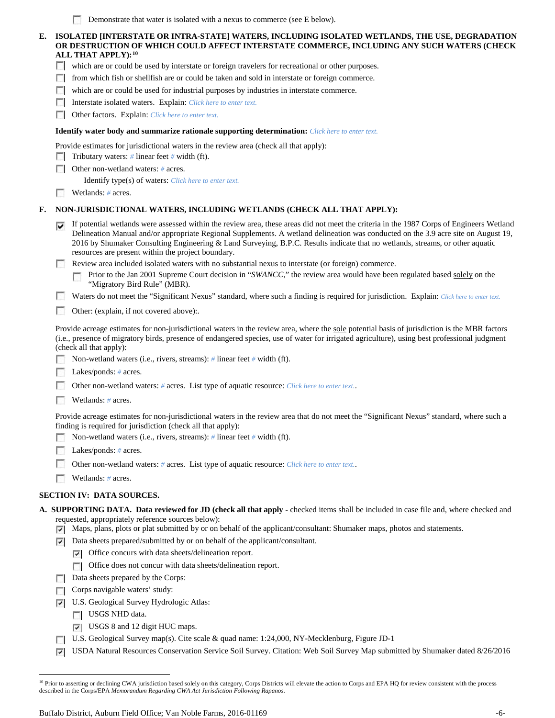|  |  |  |  | Demonstrate that water is isolated with a nexus to commerce (see E below). |
|--|--|--|--|----------------------------------------------------------------------------|
|--|--|--|--|----------------------------------------------------------------------------|

# **E. ISOLATED [INTERSTATE OR INTRA-STATE] WATERS, INCLUDING ISOLATED WETLANDS, THE USE, DEGRADATION OR DESTRUCTION OF WHICH COULD AFFECT INTERSTATE COMMERCE, INCLUDING ANY SUCH WATERS (CHECK ALL THAT APPLY):[10](#page-5-0)**

which are or could be used by interstate or foreign travelers for recreational or other purposes.

from which fish or shellfish are or could be taken and sold in interstate or foreign commerce.

which are or could be used for industrial purposes by industries in interstate commerce.

Interstate isolated waters. Explain: *Click here to enter text.* 

Other factors.Explain: *Click here to enter text.*

#### **Identify water body and summarize rationale supporting determination:** *Click here to enter text.*

Provide estimates for jurisdictional waters in the review area (check all that apply):

Tributary waters: # linear feet # width (ft).

Other non-wetland waters: *#* acres.

Identify type(s) of waters: *Click here to enter text.*

Wetlands: # acres.

ſ

### **F. NON-JURISDICTIONAL WATERS, INCLUDING WETLANDS (CHECK ALL THAT APPLY):**

If potential wetlands were assessed within the review area, these areas did not meet the criteria in the 1987 Corps of Engineers Wetland Delineation Manual and/or appropriate Regional Supplements. A wetland delineation was conducted on the 3.9 acre site on August 19, 2016 by Shumaker Consulting Engineering & Land Surveying, B.P.C. Results indicate that no wetlands, streams, or other aquatic resources are present within the project boundary.

Review area included isolated waters with no substantial nexus to interstate (or foreign) commerce.

Prior to the Jan 2001 Supreme Court decision in "*SWANCC*," the review area would have been regulated based solely on the "Migratory Bird Rule" (MBR).

п Waters do not meet the "Significant Nexus" standard, where such a finding is required for jurisdiction. Explain: *Click here to enter text.* 

Other: (explain, if not covered above):

Provide acreage estimates for non-jurisdictional waters in the review area, where the sole potential basis of jurisdiction is the MBR factors (i.e., presence of migratory birds, presence of endangered species, use of water for irrigated agriculture), using best professional judgment (check all that apply):

Non-wetland waters (i.e., rivers, streams): *#* linear feet *#* width (ft).

Lakes/ponds: *#* acres.

Other non-wetland waters: *#* acres. List type of aquatic resource: *Click here to enter text.*.

Wetlands: *#* acres.

Provide acreage estimates for non-jurisdictional waters in the review area that do not meet the "Significant Nexus" standard, where such a finding is required for jurisdiction (check all that apply):

Non-wetland waters (i.e., rivers, streams): *#* linear feet *#* width (ft).

Lakes/ponds: *#* acres.

- Other non-wetland waters: *#* acres. List type of aquatic resource: *Click here to enter text.*.
- Wetlands: *#* acres.

### **SECTION IV: DATA SOURCES.**

- **A. SUPPORTING DATA. Data reviewed for JD (check all that apply -** checked items shall be included in case file and, where checked and requested, appropriately reference sources below):
	- $\nabla$  Maps, plans, plots or plat submitted by or on behalf of the applicant/consultant: Shumaker maps, photos and statements.
	- Data sheets prepared/submitted by or on behalf of the applicant/consultant.
		- Office concurs with data sheets/delineation report.
		- Office does not concur with data sheets/delineation report.
	- Data sheets prepared by the Corps:
	- $\Box$  Corps navigable waters' study:
	- U.S. Geological Survey Hydrologic Atlas:
		- USGS NHD data.
		- USGS 8 and 12 digit HUC maps.
	- U.S. Geological Survey map(s). Cite scale & quad name: 1:24,000, NY-Mecklenburg, Figure JD-1
	- $\overline{\mathbf{v}}$ USDA Natural Resources Conservation Service Soil Survey. Citation: Web Soil Survey Map submitted by Shumaker dated 8/26/2016

<span id="page-5-0"></span><sup>&</sup>lt;sup>10</sup> Prior to asserting or declining CWA jurisdiction based solely on this category, Corps Districts will elevate the action to Corps and EPA HQ for review consistent with the process described in the Corps/EPA *Memorandum Regarding CWA Act Jurisdiction Following Rapanos.*